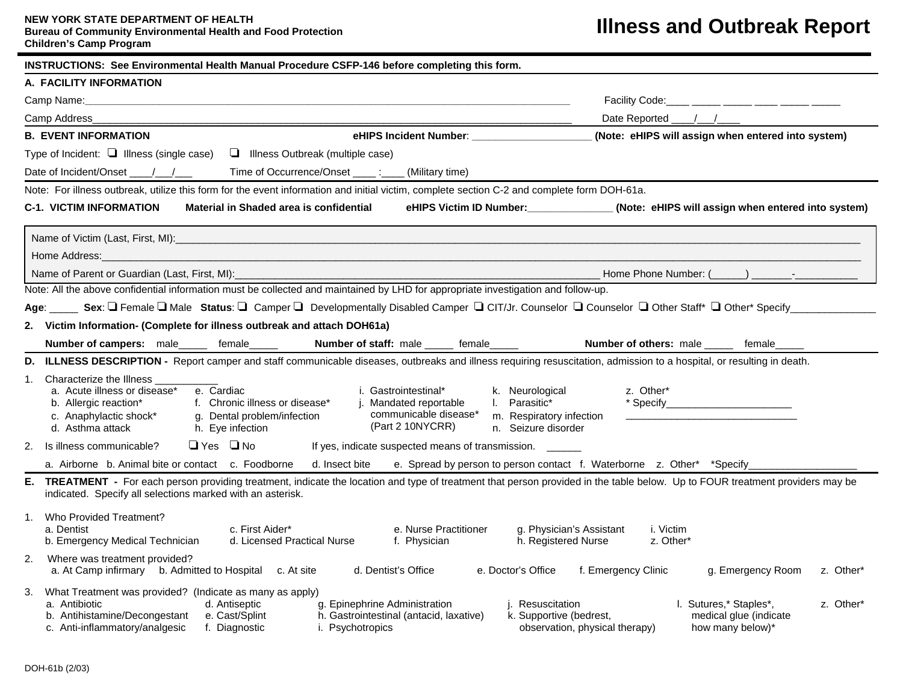## **NEW YORK STATE DEPARTMENT OF HEALTH Bureau of Community Environmental Health and Food Protection Children's Camp Program**

| INSTRUCTIONS: See Environmental Health Manual Procedure CSFP-146 before completing this form. |                                                                                                                                                                                                                                                                                                                                                                                                                          |                                                                                                                                                                                                                                            |  |  |  |  |  |  |  |
|-----------------------------------------------------------------------------------------------|--------------------------------------------------------------------------------------------------------------------------------------------------------------------------------------------------------------------------------------------------------------------------------------------------------------------------------------------------------------------------------------------------------------------------|--------------------------------------------------------------------------------------------------------------------------------------------------------------------------------------------------------------------------------------------|--|--|--|--|--|--|--|
|                                                                                               | A. FACILITY INFORMATION                                                                                                                                                                                                                                                                                                                                                                                                  |                                                                                                                                                                                                                                            |  |  |  |  |  |  |  |
|                                                                                               |                                                                                                                                                                                                                                                                                                                                                                                                                          | Facility Code:<br>Date Reported<br>(Note: eHIPS will assign when entered into system)                                                                                                                                                      |  |  |  |  |  |  |  |
|                                                                                               | Camp Address_                                                                                                                                                                                                                                                                                                                                                                                                            |                                                                                                                                                                                                                                            |  |  |  |  |  |  |  |
|                                                                                               | <b>B. EVENT INFORMATION</b>                                                                                                                                                                                                                                                                                                                                                                                              |                                                                                                                                                                                                                                            |  |  |  |  |  |  |  |
|                                                                                               | Type of Incident: $\Box$ Illness (single case)<br>Illness Outbreak (multiple case)                                                                                                                                                                                                                                                                                                                                       |                                                                                                                                                                                                                                            |  |  |  |  |  |  |  |
|                                                                                               | Time of Occurrence/Onset _____: ____ (Military time)<br>Date of Incident/Onset / /                                                                                                                                                                                                                                                                                                                                       |                                                                                                                                                                                                                                            |  |  |  |  |  |  |  |
|                                                                                               | Note: For illness outbreak, utilize this form for the event information and initial victim, complete section C-2 and complete form DOH-61a.                                                                                                                                                                                                                                                                              |                                                                                                                                                                                                                                            |  |  |  |  |  |  |  |
|                                                                                               | <b>C-1. VICTIM INFORMATION</b><br>Material in Shaded area is confidential                                                                                                                                                                                                                                                                                                                                                | eHIPS Victim ID Number: ____________(Note: eHIPS will assign when entered into system)                                                                                                                                                     |  |  |  |  |  |  |  |
|                                                                                               |                                                                                                                                                                                                                                                                                                                                                                                                                          |                                                                                                                                                                                                                                            |  |  |  |  |  |  |  |
|                                                                                               | Home Address:                                                                                                                                                                                                                                                                                                                                                                                                            |                                                                                                                                                                                                                                            |  |  |  |  |  |  |  |
|                                                                                               | Name of Parent or Guardian (Last, First, MI):                                                                                                                                                                                                                                                                                                                                                                            | Home Phone Number: ( ) The Research Section 1                                                                                                                                                                                              |  |  |  |  |  |  |  |
|                                                                                               | Note: All the above confidential information must be collected and maintained by LHD for appropriate investigation and follow-up.                                                                                                                                                                                                                                                                                        |                                                                                                                                                                                                                                            |  |  |  |  |  |  |  |
|                                                                                               | Age: Sex: □ Female □ Male Status: □ Camper □ Developmentally Disabled Camper □ CIT/Jr. Counselor □ Counselor □ Other Staff* □ Other* Specify __                                                                                                                                                                                                                                                                          |                                                                                                                                                                                                                                            |  |  |  |  |  |  |  |
| 2.                                                                                            | Victim Information- (Complete for illness outbreak and attach DOH61a)                                                                                                                                                                                                                                                                                                                                                    |                                                                                                                                                                                                                                            |  |  |  |  |  |  |  |
|                                                                                               | Number of campers: male_____ female_<br>Number of staff: male _____ female_____                                                                                                                                                                                                                                                                                                                                          | <b>Number of others: male</b><br>female                                                                                                                                                                                                    |  |  |  |  |  |  |  |
| D.                                                                                            | ILLNESS DESCRIPTION - Report camper and staff communicable diseases, outbreaks and illness requiring resuscitation, admission to a hospital, or resulting in death.                                                                                                                                                                                                                                                      |                                                                                                                                                                                                                                            |  |  |  |  |  |  |  |
| 1.                                                                                            | Characterize the Illness<br>a. Acute illness or disease*<br>e. Cardiac<br>i. Gastrointestinal*<br>k. Neurological<br>b. Allergic reaction*<br>f. Chronic illness or disease*<br>j. Mandated reportable<br>I. Parasitic*<br>communicable disease*<br>m. Respiratory infection<br>c. Anaphylactic shock*<br>g. Dental problem/infection<br>(Part 2 10NYCRR)<br>h. Eye infection<br>n. Seizure disorder<br>d. Asthma attack | z. Other*<br>* Specify the contract of the contract of the contract of the contract of the contract of the contract of the contract of the contract of the contract of the contract of the contract of the contract of the contract of the |  |  |  |  |  |  |  |
| 2.                                                                                            | $\Box$ Yes $\Box$ No<br>Is illness communicable?<br>If yes, indicate suspected means of transmission. ______                                                                                                                                                                                                                                                                                                             |                                                                                                                                                                                                                                            |  |  |  |  |  |  |  |
|                                                                                               | a. Airborne b. Animal bite or contact c. Foodborne<br>d. Insect bite e. Spread by person to person contact f. Waterborne z. Other* *Specify_                                                                                                                                                                                                                                                                             |                                                                                                                                                                                                                                            |  |  |  |  |  |  |  |
| Е.                                                                                            | TREATMENT - For each person providing treatment, indicate the location and type of treatment that person provided in the table below. Up to FOUR treatment providers may be<br>indicated. Specify all selections marked with an asterisk.                                                                                                                                                                                |                                                                                                                                                                                                                                            |  |  |  |  |  |  |  |
| 1.                                                                                            | Who Provided Treatment?<br>c. First Aider*<br>e. Nurse Practitioner<br>a. Dentist<br>d. Licensed Practical Nurse<br>b. Emergency Medical Technician<br>f. Physician                                                                                                                                                                                                                                                      | g. Physician's Assistant<br>i. Victim<br>h. Registered Nurse<br>z. Other*                                                                                                                                                                  |  |  |  |  |  |  |  |
| 2.                                                                                            | Where was treatment provided?<br>a. At Camp infirmary b. Admitted to Hospital c. At site<br>d. Dentist's Office<br>e. Doctor's Office                                                                                                                                                                                                                                                                                    | f. Emergency Clinic<br>g. Emergency Room<br>z. Other*                                                                                                                                                                                      |  |  |  |  |  |  |  |
| 3.                                                                                            | What Treatment was provided? (Indicate as many as apply)<br>a. Antibiotic<br>d. Antiseptic<br>g. Epinephrine Administration<br>j. Resuscitation<br>b. Antihistamine/Decongestant<br>e. Cast/Splint<br>h. Gastrointestinal (antacid, laxative)<br>c. Anti-inflammatory/analgesic<br>f. Diagnostic<br>i. Psychotropics                                                                                                     | I. Sutures,* Staples*,<br>z. Other*<br>k. Supportive (bedrest,<br>medical glue (indicate<br>observation, physical therapy)<br>how many below)*                                                                                             |  |  |  |  |  |  |  |